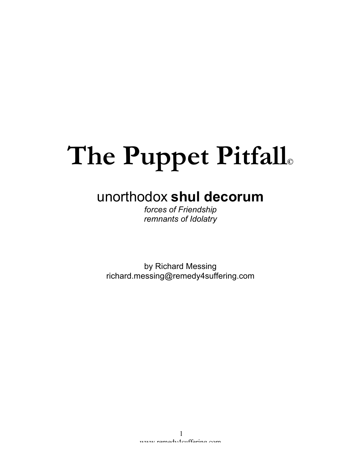# **The Puppet Pitfall©**

# unorthodox **shul decorum**

*forces of Friendship remnants of Idolatry*

by Richard Messing richard.messing@remedy4suffering.com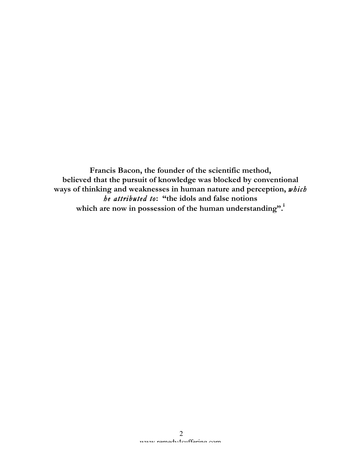**Francis Bacon, the founder of the scientific method, believed that the pursuit of knowledge was blocked by conventional ways of thinking and weaknesses in human nature and perception,** *which he attributed to***: "the idols and false notions which are now in possession of the human understanding".<sup>i</sup>**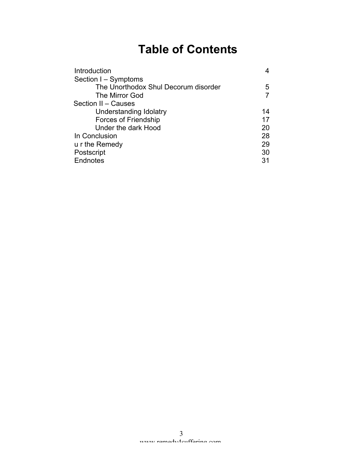# **Table of Contents**

| Introduction                         |    |
|--------------------------------------|----|
| Section I - Symptoms                 |    |
| The Unorthodox Shul Decorum disorder | 5  |
| The Mirror God                       |    |
| Section II - Causes                  |    |
| Understanding Idolatry               | 14 |
| <b>Forces of Friendship</b>          | 17 |
| Under the dark Hood                  | 20 |
| In Conclusion                        | 28 |
| u r the Remedy                       | 29 |
| Postscript                           | 30 |
| Endnotes                             | 31 |
|                                      |    |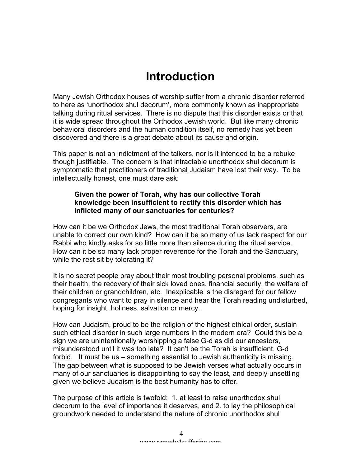# **Introduction**

Many Jewish Orthodox houses of worship suffer from a chronic disorder referred to here as 'unorthodox shul decorum', more commonly known as inappropriate talking during ritual services. There is no dispute that this disorder exists or that it is wide spread throughout the Orthodox Jewish world. But like many chronic behavioral disorders and the human condition itself, no remedy has yet been discovered and there is a great debate about its cause and origin.

This paper is not an indictment of the talkers, nor is it intended to be a rebuke though justifiable. The concern is that intractable unorthodox shul decorum is symptomatic that practitioners of traditional Judaism have lost their way. To be intellectually honest, one must dare ask:

#### **Given the power of Torah, why has our collective Torah knowledge been insufficient to rectify this disorder which has inflicted many of our sanctuaries for centuries?**

How can it be we Orthodox Jews, the most traditional Torah observers, are unable to correct our own kind? How can it be so many of us lack respect for our Rabbi who kindly asks for so little more than silence during the ritual service. How can it be so many lack proper reverence for the Torah and the Sanctuary, while the rest sit by tolerating it?

It is no secret people pray about their most troubling personal problems, such as their health, the recovery of their sick loved ones, financial security, the welfare of their children or grandchildren, etc. Inexplicable is the disregard for our fellow congregants who want to pray in silence and hear the Torah reading undisturbed, hoping for insight, holiness, salvation or mercy.

How can Judaism, proud to be the religion of the highest ethical order, sustain such ethical disorder in such large numbers in the modern era? Could this be a sign we are unintentionally worshipping a false G-d as did our ancestors, misunderstood until it was too late? It can't be the Torah is insufficient, G-d forbid. It must be us – something essential to Jewish authenticity is missing. The gap between what is supposed to be Jewish verses what actually occurs in many of our sanctuaries is disappointing to say the least, and deeply unsettling given we believe Judaism is the best humanity has to offer.

The purpose of this article is twofold: 1. at least to raise unorthodox shul decorum to the level of importance it deserves, and 2. to lay the philosophical groundwork needed to understand the nature of chronic unorthodox shul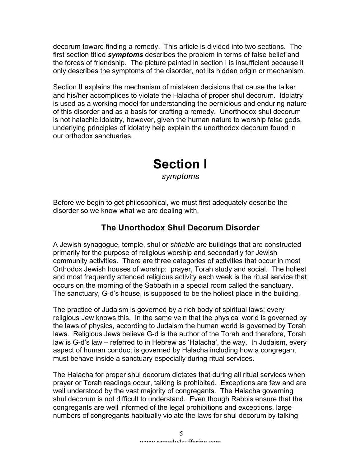decorum toward finding a remedy. This article is divided into two sections. The first section titled *symptoms* describes the problem in terms of false belief and the forces of friendship. The picture painted in section I is insufficient because it only describes the symptoms of the disorder, not its hidden origin or mechanism.

Section II explains the mechanism of mistaken decisions that cause the talker and his/her accomplices to violate the Halacha of proper shul decorum. Idolatry is used as a working model for understanding the pernicious and enduring nature of this disorder and as a basis for crafting a remedy. Unorthodox shul decorum is not halachic idolatry, however, given the human nature to worship false gods, underlying principles of idolatry help explain the unorthodox decorum found in our orthodox sanctuaries.

### **Section I** *symptoms*

Before we begin to get philosophical, we must first adequately describe the disorder so we know what we are dealing with.

#### **The Unorthodox Shul Decorum Disorder**

A Jewish synagogue, temple, shul or *shtieble* are buildings that are constructed primarily for the purpose of religious worship and secondarily for Jewish community activities. There are three categories of activities that occur in most Orthodox Jewish houses of worship: prayer, Torah study and social. The holiest and most frequently attended religious activity each week is the ritual service that occurs on the morning of the Sabbath in a special room called the sanctuary. The sanctuary, G-d's house, is supposed to be the holiest place in the building.

The practice of Judaism is governed by a rich body of spiritual laws; every religious Jew knows this. In the same vein that the physical world is governed by the laws of physics, according to Judaism the human world is governed by Torah laws. Religious Jews believe G-d is the author of the Torah and therefore, Torah law is G-d's law – referred to in Hebrew as 'Halacha', the way. In Judaism, every aspect of human conduct is governed by Halacha including how a congregant must behave inside a sanctuary especially during ritual services.

The Halacha for proper shul decorum dictates that during all ritual services when prayer or Torah readings occur, talking is prohibited. Exceptions are few and are well understood by the vast majority of congregants. The Halacha governing shul decorum is not difficult to understand. Even though Rabbis ensure that the congregants are well informed of the legal prohibitions and exceptions, large numbers of congregants habitually violate the laws for shul decorum by talking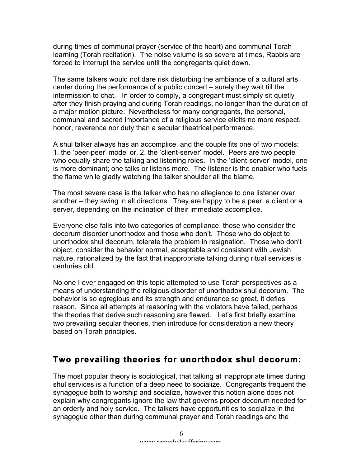during times of communal prayer (service of the heart) and communal Torah learning (Torah recitation). The noise volume is so severe at times, Rabbis are forced to interrupt the service until the congregants quiet down.

The same talkers would not dare risk disturbing the ambiance of a cultural arts center during the performance of a public concert – surely they wait till the intermission to chat. In order to comply, a congregant must simply sit quietly after they finish praying and during Torah readings, no longer than the duration of a major motion picture. Nevertheless for many congregants, the personal, communal and sacred importance of a religious service elicits no more respect, honor, reverence nor duty than a secular theatrical performance.

A shul talker always has an accomplice, and the couple fits one of two models: 1. the 'peer-peer' model or, 2. the 'client-server' model. Peers are two people who equally share the talking and listening roles. In the 'client-server' model, one is more dominant; one talks or listens more. The listener is the enabler who fuels the flame while gladly watching the talker shoulder all the blame.

The most severe case is the talker who has no allegiance to one listener over another – they swing in all directions. They are happy to be a peer, a client or a server, depending on the inclination of their immediate accomplice.

Everyone else falls into two categories of compliance, those who consider the decorum disorder unorthodox and those who don't. Those who do object to unorthodox shul decorum, tolerate the problem in resignation. Those who don't object, consider the behavior normal, acceptable and consistent with Jewish nature, rationalized by the fact that inappropriate talking during ritual services is centuries old.

No one I ever engaged on this topic attempted to use Torah perspectives as a means of understanding the religious disorder of unorthodox shul decorum. The behavior is so egregious and its strength and endurance so great, it defies reason. Since all attempts at reasoning with the violators have failed, perhaps the theories that derive such reasoning are flawed. Let's first briefly examine two prevailing secular theories, then introduce for consideration a new theory based on Torah principles.

#### **Two prevailing theories for unorthodox shul decorum:**

The most popular theory is sociological, that talking at inappropriate times during shul services is a function of a deep need to socialize. Congregants frequent the synagogue both to worship and socialize, however this notion alone does not explain why congregants ignore the law that governs proper decorum needed for an orderly and holy service. The talkers have opportunities to socialize in the synagogue other than during communal prayer and Torah readings and the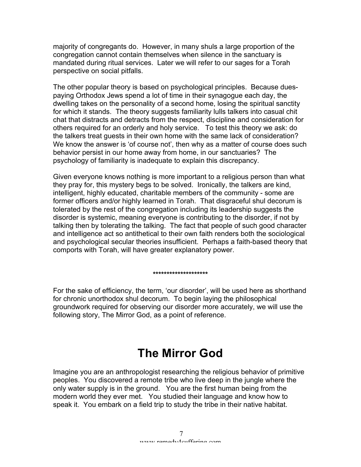majority of congregants do. However, in many shuls a large proportion of the congregation cannot contain themselves when silence in the sanctuary is mandated during ritual services. Later we will refer to our sages for a Torah perspective on social pitfalls.

The other popular theory is based on psychological principles. Because duespaying Orthodox Jews spend a lot of time in their synagogue each day, the dwelling takes on the personality of a second home, losing the spiritual sanctity for which it stands. The theory suggests familiarity lulls talkers into casual chit chat that distracts and detracts from the respect, discipline and consideration for others required for an orderly and holy service. To test this theory we ask: do the talkers treat guests in their own home with the same lack of consideration? We know the answer is 'of course not', then why as a matter of course does such behavior persist in our home away from home, in our sanctuaries? The psychology of familiarity is inadequate to explain this discrepancy.

Given everyone knows nothing is more important to a religious person than what they pray for, this mystery begs to be solved. Ironically, the talkers are kind, intelligent, highly educated, charitable members of the community - some are former officers and/or highly learned in Torah. That disgraceful shul decorum is tolerated by the rest of the congregation including its leadership suggests the disorder is systemic, meaning everyone is contributing to the disorder, if not by talking then by tolerating the talking. The fact that people of such good character and intelligence act so antithetical to their own faith renders both the sociological and psychological secular theories insufficient. Perhaps a faith-based theory that comports with Torah, will have greater explanatory power.

#### **\*\*\*\*\*\*\*\*\*\*\*\*\*\*\*\*\*\*\*\***

For the sake of efficiency, the term, 'our disorder', will be used here as shorthand for chronic unorthodox shul decorum. To begin laying the philosophical groundwork required for observing our disorder more accurately, we will use the following story, The Mirror God, as a point of reference.

# **The Mirror God**

Imagine you are an anthropologist researching the religious behavior of primitive peoples. You discovered a remote tribe who live deep in the jungle where the only water supply is in the ground. You are the first human being from the modern world they ever met. You studied their language and know how to speak it. You embark on a field trip to study the tribe in their native habitat.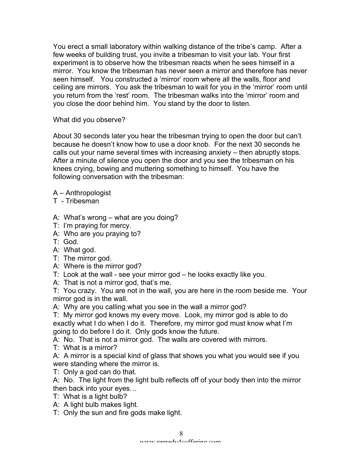You erect a small laboratory within walking distance of the tribe's camp. After a few weeks of building trust, you invite a tribesman to visit your lab. Your first experiment is to observe how the tribesman reacts when he sees himself in a mirror. You know the tribesman has never seen a mirror and therefore has never seen himself. You constructed a 'mirror' room where all the walls, floor and ceiling are mirrors. You ask the tribesman to wait for you in the 'mirror' room until you return from the 'rest' room. The tribesman walks into the 'mirror' room and you close the door behind him. You stand by the door to listen.

What did you observe?

About 30 seconds later you hear the tribesman trying to open the door but can't because he doesn't know how to use a door knob. For the next 30 seconds he calls out your name several times with increasing anxiety – then abruptly stops. After a minute of silence you open the door and you see the tribesman on his knees crying, bowing and muttering something to himself. You have the following conversation with the tribesman:

- A Anthropologist
- T Tribesman
- A: What's wrong what are you doing?
- T: I'm praying for mercy.
- A: Who are you praying to?
- T: God.
- A: What god.
- T: The mirror god.
- A: Where is the mirror god?
- T: Look at the wall see your mirror god he looks exactly like you.
- A: That is not a mirror god, that's me.

T: You crazy. You are not in the wall, you are here in the room beside me. Your mirror god is in the wall.

A: Why are you calling what you see in the wall a mirror god?

T: My mirror god knows my every move. Look, my mirror god is able to do exactly what I do when I do it. Therefore, my mirror god must know what I'm going to do before I do it. Only gods know the future.

A: No. That is not a mirror god. The walls are covered with mirrors.

T: What is a mirror?

A: A mirror is a special kind of glass that shows you what you would see if you were standing where the mirror is.

T: Only a god can do that.

A: No. The light from the light bulb reflects off of your body then into the mirror then back into your eyes…

- T: What is a light bulb?
- A: A light bulb makes light.

T: Only the sun and fire gods make light.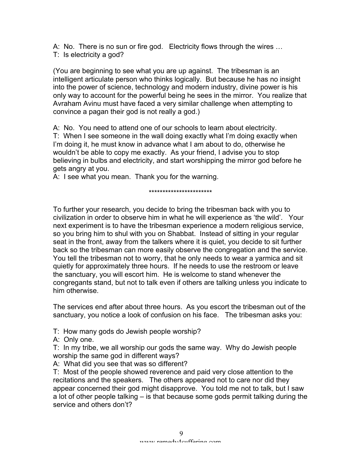A: No. There is no sun or fire god. Electricity flows through the wires … T: Is electricity a god?

(You are beginning to see what you are up against. The tribesman is an intelligent articulate person who thinks logically. But because he has no insight into the power of science, technology and modern industry, divine power is his only way to account for the powerful being he sees in the mirror. You realize that Avraham Avinu must have faced a very similar challenge when attempting to convince a pagan their god is not really a god.)

A: No. You need to attend one of our schools to learn about electricity. T: When I see someone in the wall doing exactly what I'm doing exactly when I'm doing it, he must know in advance what I am about to do, otherwise he wouldn't be able to copy me exactly. As your friend, I advise you to stop believing in bulbs and electricity, and start worshipping the mirror god before he gets angry at you.

A: I see what you mean. Thank you for the warning.

\*\*\*\*\*\*\*\*\*\*\*\*\*\*\*\*\*\*\*\*\*\*\*

To further your research, you decide to bring the tribesman back with you to civilization in order to observe him in what he will experience as 'the wild'. Your next experiment is to have the tribesman experience a modern religious service, so you bring him to shul with you on Shabbat. Instead of sitting in your regular seat in the front, away from the talkers where it is quiet, you decide to sit further back so the tribesman can more easily observe the congregation and the service. You tell the tribesman not to worry, that he only needs to wear a yarmica and sit quietly for approximately three hours. If he needs to use the restroom or leave the sanctuary, you will escort him. He is welcome to stand whenever the congregants stand, but not to talk even if others are talking unless you indicate to him otherwise.

The services end after about three hours. As you escort the tribesman out of the sanctuary, you notice a look of confusion on his face. The tribesman asks you:

T: How many gods do Jewish people worship?

A: Only one.

T: In my tribe, we all worship our gods the same way. Why do Jewish people worship the same god in different ways?

A: What did you see that was so different?

T: Most of the people showed reverence and paid very close attention to the recitations and the speakers. The others appeared not to care nor did they appear concerned their god might disapprove. You told me not to talk, but I saw a lot of other people talking – is that because some gods permit talking during the service and others don't?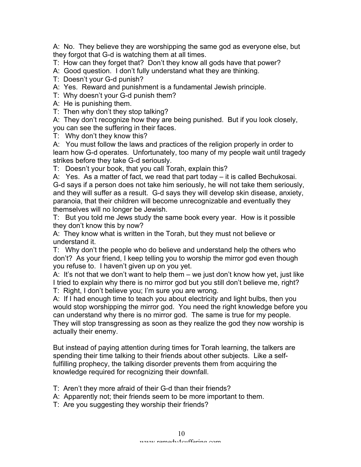A: No. They believe they are worshipping the same god as everyone else, but they forgot that G-d is watching them at all times.

T: How can they forget that? Don't they know all gods have that power?

A: Good question. I don't fully understand what they are thinking.

T: Doesn't your G-d punish?

A: Yes. Reward and punishment is a fundamental Jewish principle.

T: Why doesn't your G-d punish them?

A: He is punishing them.

T: Then why don't they stop talking?

A: They don't recognize how they are being punished. But if you look closely, you can see the suffering in their faces.

T: Why don't they know this?

A: You must follow the laws and practices of the religion properly in order to learn how G-d operates. Unfortunately, too many of my people wait until tragedy strikes before they take G-d seriously.

T: Doesn't your book, that you call Torah, explain this?

A: Yes. As a matter of fact, we read that part today – it is called Bechukosai. G-d says if a person does not take him seriously, he will not take them seriously, and they will suffer as a result. G-d says they will develop skin disease, anxiety, paranoia, that their children will become unrecognizable and eventually they themselves will no longer be Jewish.

T: But you told me Jews study the same book every year. How is it possible they don't know this by now?

A: They know what is written in the Torah, but they must not believe or understand it.

T: Why don't the people who do believe and understand help the others who don't? As your friend, I keep telling you to worship the mirror god even though you refuse to. I haven't given up on you yet.

A: It's not that we don't want to help them – we just don't know how yet, just like I tried to explain why there is no mirror god but you still don't believe me, right? T: Right, I don't believe you; I'm sure you are wrong.

A: If I had enough time to teach you about electricity and light bulbs, then you would stop worshipping the mirror god. You need the right knowledge before you can understand why there is no mirror god. The same is true for my people. They will stop transgressing as soon as they realize the god they now worship is actually their enemy.

But instead of paying attention during times for Torah learning, the talkers are spending their time talking to their friends about other subjects. Like a selffulfilling prophecy, the talking disorder prevents them from acquiring the knowledge required for recognizing their downfall.

T: Aren't they more afraid of their G-d than their friends?

A: Apparently not; their friends seem to be more important to them.

T: Are you suggesting they worship their friends?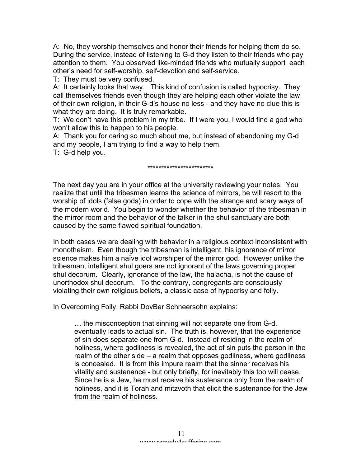A: No, they worship themselves and honor their friends for helping them do so. During the service, instead of listening to G-d they listen to their friends who pay attention to them. You observed like-minded friends who mutually support each other's need for self-worship, self-devotion and self-service.

T: They must be very confused.

A: It certainly looks that way. This kind of confusion is called hypocrisy. They call themselves friends even though they are helping each other violate the law of their own religion, in their G-d's house no less - and they have no clue this is what they are doing. It is truly remarkable.

T: We don't have this problem in my tribe. If I were you, I would find a god who won't allow this to happen to his people.

A: Thank you for caring so much about me, but instead of abandoning my G-d and my people, I am trying to find a way to help them.

T: G-d help you.

#### \*\*\*\*\*\*\*\*\*\*\*\*\*\*\*\*\*\*\*\*\*\*\*\*

The next day you are in your office at the university reviewing your notes. You realize that until the tribesman learns the science of mirrors, he will resort to the worship of idols (false gods) in order to cope with the strange and scary ways of the modern world. You begin to wonder whether the behavior of the tribesman in the mirror room and the behavior of the talker in the shul sanctuary are both caused by the same flawed spiritual foundation.

In both cases we are dealing with behavior in a religious context inconsistent with monotheism. Even though the tribesman is intelligent, his ignorance of mirror science makes him a naïve idol worshiper of the mirror god. However unlike the tribesman, intelligent shul goers are not ignorant of the laws governing proper shul decorum. Clearly, ignorance of the law, the halacha, is not the cause of unorthodox shul decorum. To the contrary, congregants are consciously violating their own religious beliefs, a classic case of hypocrisy and folly.

In Overcoming Folly, Rabbi DovBer Schneersohn explains:

… the misconception that sinning will not separate one from G-d, eventually leads to actual sin. The truth is, however, that the experience of sin does separate one from G-d. Instead of residing in the realm of holiness, where godliness is revealed, the act of sin puts the person in the realm of the other side – a realm that opposes godliness, where godliness is concealed. It is from this impure realm that the sinner receives his vitality and sustenance - but only briefly, for inevitably this too will cease. Since he is a Jew, he must receive his sustenance only from the realm of holiness, and it is Torah and mitzvoth that elicit the sustenance for the Jew from the realm of holiness.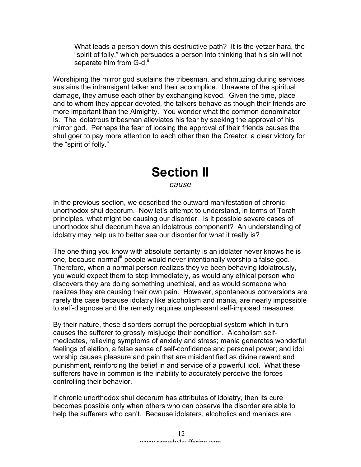What leads a person down this destructive path? It is the yetzer hara, the "spirit of folly," which persuades a person into thinking that his sin will not separate him from G-d."

Worshiping the mirror god sustains the tribesman, and shmuzing during services sustains the intransigent talker and their accomplice. Unaware of the spiritual damage, they amuse each other by exchanging kovod. Given the time, place and to whom they appear devoted, the talkers behave as though their friends are more important than the Almighty. You wonder what the common denominator is. The idolatrous tribesman alleviates his fear by seeking the approval of his mirror god. Perhaps the fear of loosing the approval of their friends causes the shul goer to pay more attention to each other than the Creator, a clear victory for the "spirit of folly."

# **Section II**

*cause*

In the previous section, we described the outward manifestation of chronic unorthodox shul decorum. Now let's attempt to understand, in terms of Torah principles, what might be causing our disorder. Is it possible severe cases of unorthodox shul decorum have an idolatrous component? An understanding of idolatry may help us to better see our disorder for what it really is?

The one thing you know with absolute certainty is an idolater never knows he is one, because normal<sup>iii</sup> people would never intentionally worship a false god. Therefore, when a normal person realizes they've been behaving idolatrously, you would expect them to stop immediately, as would any ethical person who discovers they are doing something unethical, and as would someone who realizes they are causing their own pain. However, spontaneous conversions are rarely the case because idolatry like alcoholism and mania, are nearly impossible to self-diagnose and the remedy requires unpleasant self-imposed measures.

By their nature, these disorders corrupt the perceptual system which in turn causes the sufferer to grossly misjudge their condition. Alcoholism selfmedicates, relieving symptoms of anxiety and stress; mania generates wonderful feelings of elation, a false sense of self-confidence and personal power; and idol worship causes pleasure and pain that are misidentified as divine reward and punishment, reinforcing the belief in and service of a powerful idol. What these sufferers have in common is the inability to accurately perceive the forces controlling their behavior.

If chronic unorthodox shul decorum has attributes of idolatry, then its cure becomes possible only when others who can observe the disorder are able to help the sufferers who can't. Because idolaters, alcoholics and maniacs are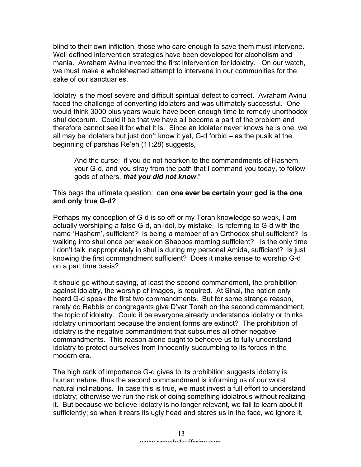blind to their own infliction, those who care enough to save them must intervene. Well defined intervention strategies have been developed for alcoholism and mania. Avraham Avinu invented the first intervention for idolatry. On our watch, we must make a wholehearted attempt to intervene in our communities for the sake of our sanctuaries.

Idolatry is the most severe and difficult spiritual defect to correct. Avraham Avinu faced the challenge of converting idolaters and was ultimately successful. One would think 3000 plus years would have been enough time to remedy unorthodox shul decorum. Could it be that we have all become a part of the problem and therefore cannot see it for what it is. Since an idolater never knows he is one, we all may be idolaters but just don't know it yet, G-d forbid – as the pusik at the beginning of parshas Re'eh (11:28) suggests,

And the curse: if you do not hearken to the commandments of Hashem, your G-d, and you stray from the path that I command you today, to follow gods of others, *that you did not know*."

#### This begs the ultimate question: c**an one ever be certain your god is the one and only true G-d?**

Perhaps my conception of G-d is so off or my Torah knowledge so weak, I am actually worshiping a false G-d, an idol, by mistake. Is referring to G-d with the name 'Hashem', sufficient? Is being a member of an Orthodox shul sufficient? Is walking into shul once per week on Shabbos morning sufficient? Is the only time I don't talk inappropriately in shul is during my personal Amida, sufficient? Is just knowing the first commandment sufficient? Does it make sense to worship G-d on a part time basis?

It should go without saying, at least the second commandment, the prohibition against idolatry, the worship of images, is required. At Sinai, the nation only heard G-d speak the first two commandments. But for some strange reason, rarely do Rabbis or congregants give D'var Torah on the second commandment, the topic of idolatry. Could it be everyone already understands idolatry or thinks idolatry unimportant because the ancient forms are extinct? The prohibition of idolatry is the negative commandment that subsumes all other negative commandments. This reason alone ought to behoove us to fully understand idolatry to protect ourselves from innocently succumbing to its forces in the modern era.

The high rank of importance G-d gives to its prohibition suggests idolatry is human nature, thus the second commandment is informing us of our worst natural inclinations. In case this is true, we must invest a full effort to understand idolatry; otherwise we run the risk of doing something idolatrous without realizing it. But because we believe idolatry is no longer relevant, we fail to learn about it sufficiently; so when it rears its ugly head and stares us in the face, we ignore it,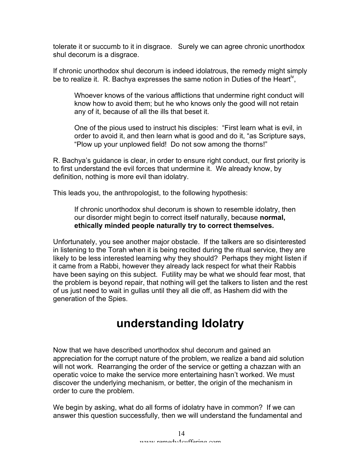tolerate it or succumb to it in disgrace. Surely we can agree chronic unorthodox shul decorum is a disgrace.

If chronic unorthodox shul decorum is indeed idolatrous, the remedy might simply be to realize it. R. Bachya expresses the same notion in Duties of the Heart<sup>iv</sup>,

Whoever knows of the various afflictions that undermine right conduct will know how to avoid them; but he who knows only the good will not retain any of it, because of all the ills that beset it.

One of the pious used to instruct his disciples: "First learn what is evil, in order to avoid it, and then learn what is good and do it, "as Scripture says, "Plow up your unplowed field! Do not sow among the thorns!"

R. Bachya's guidance is clear, in order to ensure right conduct, our first priority is to first understand the evil forces that undermine it. We already know, by definition, nothing is more evil than idolatry.

This leads you, the anthropologist, to the following hypothesis:

If chronic unorthodox shul decorum is shown to resemble idolatry, then our disorder might begin to correct itself naturally, because **normal, ethically minded people naturally try to correct themselves.**

Unfortunately, you see another major obstacle. If the talkers are so disinterested in listening to the Torah when it is being recited during the ritual service, they are likely to be less interested learning why they should? Perhaps they might listen if it came from a Rabbi, however they already lack respect for what their Rabbis have been saying on this subject. Futility may be what we should fear most, that the problem is beyond repair, that nothing will get the talkers to listen and the rest of us just need to wait in gullas until they all die off, as Hashem did with the generation of the Spies.

### **understanding Idolatry**

Now that we have described unorthodox shul decorum and gained an appreciation for the corrupt nature of the problem, we realize a band aid solution will not work. Rearranging the order of the service or getting a chazzan with an operatic voice to make the service more entertaining hasn't worked. We must discover the underlying mechanism, or better, the origin of the mechanism in order to cure the problem.

We begin by asking, what do all forms of idolatry have in common? If we can answer this question successfully, then we will understand the fundamental and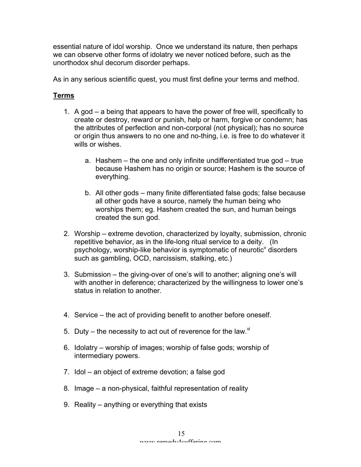essential nature of idol worship. Once we understand its nature, then perhaps we can observe other forms of idolatry we never noticed before, such as the unorthodox shul decorum disorder perhaps.

As in any serious scientific quest, you must first define your terms and method.

#### **Terms**

- 1. A god a being that appears to have the power of free will, specifically to create or destroy, reward or punish, help or harm, forgive or condemn; has the attributes of perfection and non-corporal (not physical); has no source or origin thus answers to no one and no-thing, i.e. is free to do whatever it wills or wishes.
	- a. Hashem the one and only infinite undifferentiated true god true because Hashem has no origin or source; Hashem is the source of everything.
	- b. All other gods many finite differentiated false gods; false because all other gods have a source, namely the human being who worships them; eg. Hashem created the sun, and human beings created the sun god.
- 2. Worship extreme devotion, characterized by loyalty, submission, chronic repetitive behavior, as in the life-long ritual service to a deity. (In psychology, worship-like behavior is symptomatic of neurotic<sup>v</sup> disorders such as gambling, OCD, narcissism, stalking, etc.)
- 3. Submission the giving-over of one's will to another; aligning one's will with another in deference; characterized by the willingness to lower one's status in relation to another.
- 4. Service the act of providing benefit to another before oneself.
- 5. Duty the necessity to act out of reverence for the law. $\mathrm{N}$
- 6. Idolatry worship of images; worship of false gods; worship of intermediary powers.
- 7. Idol an object of extreme devotion; a false god
- 8. Image a non-physical, faithful representation of reality
- 9. Reality anything or everything that exists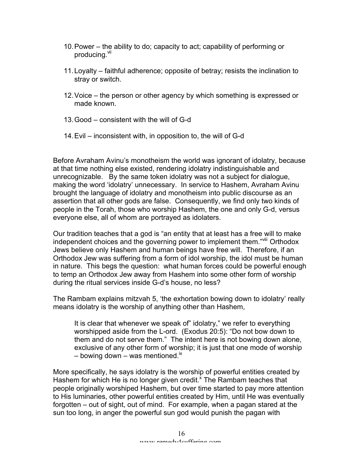- 10.Power the ability to do; capacity to act; capability of performing or producing. Vil
- 11.Loyalty faithful adherence; opposite of betray; resists the inclination to stray or switch.
- 12.Voice the person or other agency by which something is expressed or made known.
- 13.Good consistent with the will of G-d
- 14.Evil inconsistent with, in opposition to, the will of G-d

Before Avraham Avinu's monotheism the world was ignorant of idolatry, because at that time nothing else existed, rendering idolatry indistinguishable and unrecognizable. By the same token idolatry was not a subject for dialogue, making the word 'idolatry' unnecessary. In service to Hashem, Avraham Avinu brought the language of idolatry and monotheism into public discourse as an assertion that all other gods are false. Consequently, we find only two kinds of people in the Torah, those who worship Hashem, the one and only G-d, versus everyone else, all of whom are portrayed as idolaters.

Our tradition teaches that a god is "an entity that at least has a free will to make independent choices and the governing power to implement them."<sup>viii</sup> Orthodox Jews believe only Hashem and human beings have free will. Therefore, if an Orthodox Jew was suffering from a form of idol worship, the idol must be human in nature. This begs the question: what human forces could be powerful enough to temp an Orthodox Jew away from Hashem into some other form of worship during the ritual services inside G-d's house, no less?

The Rambam explains mitzvah 5, 'the exhortation bowing down to idolatry' really means idolatry is the worship of anything other than Hashem,

It is clear that whenever we speak of" idolatry," we refer to everything worshipped aside from the L-ord. (Exodus 20:5): "Do not bow down to them and do not serve them." The intent here is not bowing down alone, exclusive of any other form of worship; it is just that one mode of worship – bowing down – was mentioned. $\frac{1}{x}$ 

More specifically, he says idolatry is the worship of powerful entities created by Hashem for which He is no longer given credit. $^{\star}$  The Rambam teaches that people originally worshiped Hashem, but over time started to pay more attention to His luminaries, other powerful entities created by Him, until He was eventually forgotten – out of sight, out of mind. For example, when a pagan stared at the sun too long, in anger the powerful sun god would punish the pagan with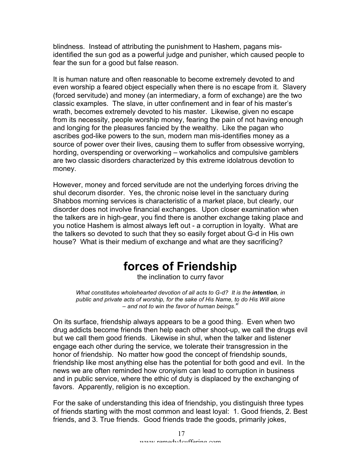blindness. Instead of attributing the punishment to Hashem, pagans misidentified the sun god as a powerful judge and punisher, which caused people to fear the sun for a good but false reason.

It is human nature and often reasonable to become extremely devoted to and even worship a feared object especially when there is no escape from it. Slavery (forced servitude) and money (an intermediary, a form of exchange) are the two classic examples. The slave, in utter confinement and in fear of his master's wrath, becomes extremely devoted to his master. Likewise, given no escape from its necessity, people worship money, fearing the pain of not having enough and longing for the pleasures fancied by the wealthy. Like the pagan who ascribes god-like powers to the sun, modern man mis-identifies money as a source of power over their lives, causing them to suffer from obsessive worrying, hording, overspending or overworking – workaholics and compulsive gamblers are two classic disorders characterized by this extreme idolatrous devotion to money.

However, money and forced servitude are not the underlying forces driving the shul decorum disorder. Yes, the chronic noise level in the sanctuary during Shabbos morning services is characteristic of a market place, but clearly, our disorder does not involve financial exchanges. Upon closer examination when the talkers are in high-gear, you find there is another exchange taking place and you notice Hashem is almost always left out - a corruption in loyalty. What are the talkers so devoted to such that they so easily forget about G-d in His own house? What is their medium of exchange and what are they sacrificing?

# **forces of Friendship**

the inclination to curry favor

*What constitutes wholehearted devotion of all acts to G-d? It is the <i>intention*, *in public and private acts of worship, for the sake of His Name, to do His Will alone – and not to win the favor of human beings.xi*

On its surface, friendship always appears to be a good thing. Even when two drug addicts become friends then help each other shoot-up, we call the drugs evil but we call them good friends. Likewise in shul, when the talker and listener engage each other during the service, we tolerate their transgression in the honor of friendship. No matter how good the concept of friendship sounds, friendship like most anything else has the potential for both good and evil. In the news we are often reminded how cronyism can lead to corruption in business and in public service, where the ethic of duty is displaced by the exchanging of favors. Apparently, religion is no exception.

For the sake of understanding this idea of friendship, you distinguish three types of friends starting with the most common and least loyal: 1. Good friends, 2. Best friends, and 3. True friends. Good friends trade the goods, primarily jokes,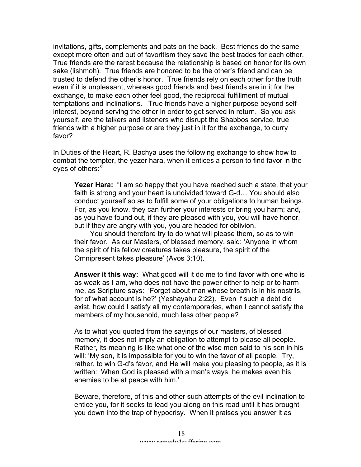invitations, gifts, complements and pats on the back. Best friends do the same except more often and out of favoritism they save the best trades for each other. True friends are the rarest because the relationship is based on honor for its own sake (lishmoh). True friends are honored to be the other's friend and can be trusted to defend the other's honor. True friends rely on each other for the truth even if it is unpleasant, whereas good friends and best friends are in it for the exchange, to make each other feel good, the reciprocal fulfillment of mutual temptations and inclinations. True friends have a higher purpose beyond selfinterest, beyond serving the other in order to get served in return. So you ask yourself, are the talkers and listeners who disrupt the Shabbos service, true friends with a higher purpose or are they just in it for the exchange, to curry favor?

In Duties of the Heart, R. Bachya uses the following exchange to show how to combat the tempter, the yezer hara, when it entices a person to find favor in the eyes of others:<sup>xii</sup>

**Yezer Hara:** "I am so happy that you have reached such a state, that your faith is strong and your heart is undivided toward G-d… You should also conduct yourself so as to fulfill some of your obligations to human beings. For, as you know, they can further your interests or bring you harm; and, as you have found out, if they are pleased with you, you will have honor, but if they are angry with you, you are headed for oblivion.

 You should therefore try to do what will please them, so as to win their favor. As our Masters, of blessed memory, said: 'Anyone in whom the spirit of his fellow creatures takes pleasure, the spirit of the Omnipresent takes pleasure' (Avos 3:10).

**Answer it this way:** What good will it do me to find favor with one who is as weak as I am, who does not have the power either to help or to harm me, as Scripture says: 'Forget about man whose breath is in his nostrils, for of what account is he?' (Yeshayahu 2:22). Even if such a debt did exist, how could I satisfy all my contemporaries, when I cannot satisfy the members of my household, much less other people?

As to what you quoted from the sayings of our masters, of blessed memory, it does not imply an obligation to attempt to please all people. Rather, its meaning is like what one of the wise men said to his son in his will: 'My son, it is impossible for you to win the favor of all people. Try, rather, to win G-d's favor, and He will make you pleasing to people, as it is written: When God is pleased with a man's ways, he makes even his enemies to be at peace with him.'

Beware, therefore, of this and other such attempts of the evil inclination to entice you, for it seeks to lead you along on this road until it has brought you down into the trap of hypocrisy. When it praises you answer it as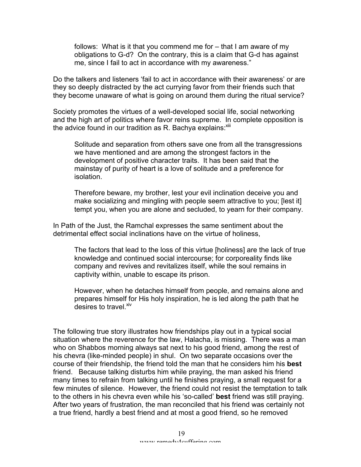follows: What is it that you commend me for – that I am aware of my obligations to G-d? On the contrary, this is a claim that G-d has against me, since I fail to act in accordance with my awareness."

Do the talkers and listeners 'fail to act in accordance with their awareness' or are they so deeply distracted by the act currying favor from their friends such that they become unaware of what is going on around them during the ritual service?

Society promotes the virtues of a well-developed social life, social networking and the high art of politics where favor reins supreme. In complete opposition is the advice found in our tradition as R. Bachya explains: $x$ ili

Solitude and separation from others save one from all the transgressions we have mentioned and are among the strongest factors in the development of positive character traits. It has been said that the mainstay of purity of heart is a love of solitude and a preference for isolation.

Therefore beware, my brother, lest your evil inclination deceive you and make socializing and mingling with people seem attractive to you; [lest it] tempt you, when you are alone and secluded, to yearn for their company.

In Path of the Just, the Ramchal expresses the same sentiment about the detrimental effect social inclinations have on the virtue of holiness,

The factors that lead to the loss of this virtue [holiness] are the lack of true knowledge and continued social intercourse; for corporeality finds like company and revives and revitalizes itself, while the soul remains in captivity within, unable to escape its prison.

However, when he detaches himself from people, and remains alone and prepares himself for His holy inspiration, he is led along the path that he desires to travel. Xiv

The following true story illustrates how friendships play out in a typical social situation where the reverence for the law, Halacha, is missing. There was a man who on Shabbos morning always sat next to his good friend, among the rest of his chevra (like-minded people) in shul. On two separate occasions over the course of their friendship, the friend told the man that he considers him his **best** friend. Because talking disturbs him while praying, the man asked his friend many times to refrain from talking until he finishes praying, a small request for a few minutes of silence. However, the friend could not resist the temptation to talk to the others in his chevra even while his 'so-called' **best** friend was still praying. After two years of frustration, the man reconciled that his friend was certainly not a true friend, hardly a best friend and at most a good friend, so he removed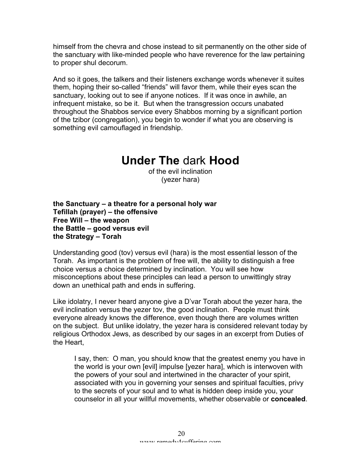himself from the chevra and chose instead to sit permanently on the other side of the sanctuary with like-minded people who have reverence for the law pertaining to proper shul decorum.

And so it goes, the talkers and their listeners exchange words whenever it suites them, hoping their so-called "friends" will favor them, while their eyes scan the sanctuary, looking out to see if anyone notices. If it was once in awhile, an infrequent mistake, so be it. But when the transgression occurs unabated throughout the Shabbos service every Shabbos morning by a significant portion of the tzibor (congregation), you begin to wonder if what you are observing is something evil camouflaged in friendship.

## **Under The** dark **Hood**

of the evil inclination (yezer hara)

**the Sanctuary – a theatre for a personal holy war Tefillah (prayer) – the offensive Free Will – the weapon the Battle – good versus evil the Strategy – Torah**

Understanding good (tov) versus evil (hara) is the most essential lesson of the Torah. As important is the problem of free will, the ability to distinguish a free choice versus a choice determined by inclination. You will see how misconceptions about these principles can lead a person to unwittingly stray down an unethical path and ends in suffering.

Like idolatry, I never heard anyone give a D'var Torah about the yezer hara, the evil inclination versus the yezer tov, the good inclination. People must think everyone already knows the difference, even though there are volumes written on the subject. But unlike idolatry, the yezer hara is considered relevant today by religious Orthodox Jews, as described by our sages in an excerpt from Duties of the Heart,

I say, then: O man, you should know that the greatest enemy you have in the world is your own [evil] impulse [yezer hara], which is interwoven with the powers of your soul and intertwined in the character of your spirit, associated with you in governing your senses and spiritual faculties, privy to the secrets of your soul and to what is hidden deep inside you, your counselor in all your willful movements, whether observable or **concealed**.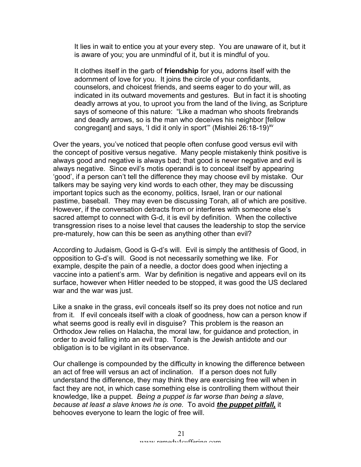It lies in wait to entice you at your every step. You are unaware of it, but it is aware of you; you are unmindful of it, but it is mindful of you.

It clothes itself in the garb of **friendship** for you, adorns itself with the adornment of love for you. It joins the circle of your confidants, counselors, and choicest friends, and seems eager to do your will, as indicated in its outward movements and gestures. But in fact it is shooting deadly arrows at you, to uproot you from the land of the living, as Scripture says of someone of this nature: "Like a madman who shoots firebrands and deadly arrows, so is the man who deceives his neighbor [fellow congregant] and says, 'I did it only in sport" (Mishlei  $26:18-19$ )<sup>xv</sup>

Over the years, you've noticed that people often confuse good versus evil with the concept of positive versus negative. Many people mistakenly think positive is always good and negative is always bad; that good is never negative and evil is always negative. Since evil's motis operandi is to conceal itself by appearing 'good', if a person can't tell the difference they may choose evil by mistake. Our talkers may be saying very kind words to each other, they may be discussing important topics such as the economy, politics, Israel, Iran or our national pastime, baseball. They may even be discussing Torah, all of which are positive. However, if the conversation detracts from or interferes with someone else's sacred attempt to connect with G-d, it is evil by definition. When the collective transgression rises to a noise level that causes the leadership to stop the service pre-maturely, how can this be seen as anything other than evil?

According to Judaism, Good is G-d's will. Evil is simply the antithesis of Good, in opposition to G-d's will. Good is not necessarily something we like. For example, despite the pain of a needle, a doctor does good when injecting a vaccine into a patient's arm. War by definition is negative and appears evil on its surface, however when Hitler needed to be stopped, it was good the US declared war and the war was just.

Like a snake in the grass, evil conceals itself so its prey does not notice and run from it. If evil conceals itself with a cloak of goodness, how can a person know if what seems good is really evil in disguise? This problem is the reason an Orthodox Jew relies on Halacha, the moral law, for guidance and protection, in order to avoid falling into an evil trap. Torah is the Jewish antidote and our obligation is to be vigilant in its observance.

Our challenge is compounded by the difficulty in knowing the difference between an act of free will versus an act of inclination. If a person does not fully understand the difference, they may think they are exercising free will when in fact they are not, in which case something else is controlling them without their knowledge, like a puppet. *Being a puppet is far worse than being a slave, because at least a slave knows he is one.* To avoid *the puppet pitfall,* it behooves everyone to learn the logic of free will.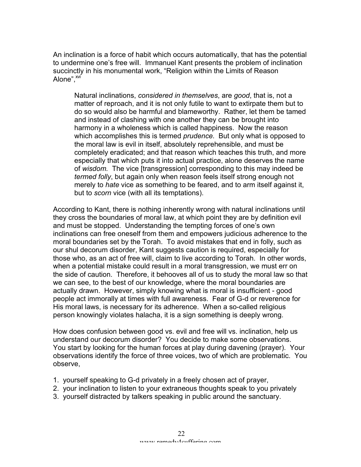An inclination is a force of habit which occurs automatically, that has the potential to undermine one's free will. Immanuel Kant presents the problem of inclination succinctly in his monumental work, "Religion within the Limits of Reason Alone".<sup>xvi</sup>

Natural inclinations, *considered in themselves*, are *good*, that is, not a matter of reproach, and it is not only futile to want to extirpate them but to do so would also be harmful and blameworthy. Rather, let them be tamed and instead of clashing with one another they can be brought into harmony in a wholeness which is called happiness. Now the reason which accomplishes this is termed *prudence.* But only what is opposed to the moral law is evil in itself, absolutely reprehensible, and must be completely eradicated; and that reason which teaches this truth, and more especially that which puts it into actual practice, alone deserves the name of *wisdom.* The vice [transgression] corresponding to this may indeed be *termed folly*, but again only when reason feels itself strong enough not merely to *hate* vice as something to be feared, and to arm itself against it, but to *scorn* vice (with all its temptations).

According to Kant, there is nothing inherently wrong with natural inclinations until they cross the boundaries of moral law, at which point they are by definition evil and must be stopped. Understanding the tempting forces of one's own inclinations can free oneself from them and empowers judicious adherence to the moral boundaries set by the Torah. To avoid mistakes that end in folly, such as our shul decorum disorder, Kant suggests caution is required, especially for those who, as an act of free will, claim to live according to Torah. In other words, when a potential mistake could result in a moral transgression, we must err on the side of caution. Therefore, it behooves all of us to study the moral law so that we can see, to the best of our knowledge, where the moral boundaries are actually drawn. However, simply knowing what is moral is insufficient - good people act immorally at times with full awareness. Fear of G-d or reverence for His moral laws, is necessary for its adherence. When a so-called religious person knowingly violates halacha, it is a sign something is deeply wrong.

How does confusion between good vs. evil and free will vs. inclination, help us understand our decorum disorder? You decide to make some observations. You start by looking for the human forces at play during davening (prayer). Your observations identify the force of three voices, two of which are problematic. You observe,

- 1. yourself speaking to G-d privately in a freely chosen act of prayer,
- 2. your inclination to listen to your extraneous thoughts speak to you privately
- 3. yourself distracted by talkers speaking in public around the sanctuary.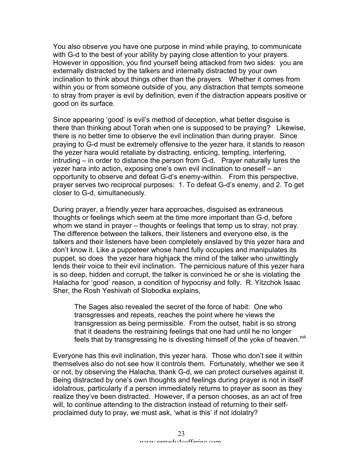You also observe you have one purpose in mind while praying, to communicate with G-d to the best of your ability by paying close attention to your prayers. However in opposition, you find yourself being attacked from two sides: you are externally distracted by the talkers and internally distracted by your own inclination to think about things other than the prayers. Whether it comes from within you or from someone outside of you, any distraction that tempts someone to stray from prayer is evil by definition, even if the distraction appears positive or good on its surface.

Since appearing 'good' is evil's method of deception, what better disguise is there than thinking about Torah when one is supposed to be praying? Likewise, there is no better time to observe the evil inclination than during prayer. Since praying to G-d must be extremely offensive to the yezer hara, it stands to reason the yezer hara would retaliate by distracting, enticing, tempting, interfering, intruding – in order to distance the person from G-d. Prayer naturally lures the yezer hara into action, exposing one's own evil inclination to oneself – an opportunity to observe and defeat G-d's enemy-within. From this perspective, prayer serves two reciprocal purposes: 1. To defeat G-d's enemy, and 2. To get closer to G-d, simultaneously.

During prayer, a friendly yezer hara approaches, disguised as extraneous thoughts or feelings which seem at the time more important than G-d, before whom we stand in prayer – thoughts or feelings that temp us to stray, not pray. The difference between the talkers, their listeners and everyone else, is the talkers and their listeners have been completely enslaved by this yezer hara and don't know it. Like a puppeteer whose hand fully occupies and manipulates its puppet, so does the yezer hara highjack the mind of the talker who unwittingly lends their voice to their evil inclination. The pernicious nature of this yezer hara is so deep, hidden and corrupt, the talker is convinced he or she is violating the Halacha for 'good' reason, a condition of hypocrisy and folly. R. Yitzchok Isaac Sher, the Rosh Yeshivah of Slobodka explains,

The Sages also revealed the secret of the force of habit: One who transgresses and repeats, reaches the point where he views the transgression as being permissible. From the outset, habit is so strong that it deadens the restraining feelings that one had until he no longer feels that by transgressing he is divesting himself of the yoke of heaven.<sup>XVII</sup>

Everyone has this evil inclination, this yezer hara. Those who don't see it within themselves also do not see how it controls them. Fortunately, whether we see it or not, by observing the Halacha, thank G-d, we can protect ourselves against it. Being distracted by one's own thoughts and feelings during prayer is not in itself idolatrous, particularly if a person immediately returns to prayer as soon as they realize they've been distracted. However, if a person chooses, as an act of free will, to continue attending to the distraction instead of returning to their selfproclaimed duty to pray, we must ask, 'what is this' if not idolatry?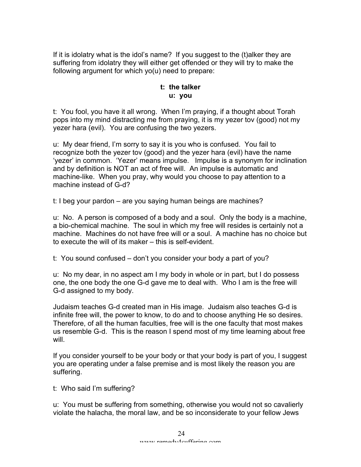If it is idolatry what is the idol's name? If you suggest to the (t)alker they are suffering from idolatry they will either get offended or they will try to make the following argument for which yo(u) need to prepare:

#### **t: the talker u: you**

t: You fool, you have it all wrong. When I'm praying, if a thought about Torah pops into my mind distracting me from praying, it is my yezer tov (good) not my yezer hara (evil). You are confusing the two yezers.

u: My dear friend, I'm sorry to say it is you who is confused. You fail to recognize both the yezer tov (good) and the yezer hara (evil) have the name 'yezer' in common. 'Yezer' means impulse. Impulse is a synonym for inclination and by definition is NOT an act of free will. An impulse is automatic and machine-like. When you pray, why would you choose to pay attention to a machine instead of G-d?

t: I beg your pardon – are you saying human beings are machines?

u: No. A person is composed of a body and a soul. Only the body is a machine, a bio-chemical machine. The soul in which my free will resides is certainly not a machine. Machines do not have free will or a soul. A machine has no choice but to execute the will of its maker – this is self-evident.

t: You sound confused – don't you consider your body a part of you?

u: No my dear, in no aspect am I my body in whole or in part, but I do possess one, the one body the one G-d gave me to deal with. Who I am is the free will G-d assigned to my body.

Judaism teaches G-d created man in His image. Judaism also teaches G-d is infinite free will, the power to know, to do and to choose anything He so desires. Therefore, of all the human faculties, free will is the one faculty that most makes us resemble G-d. This is the reason I spend most of my time learning about free will.

If you consider yourself to be your body or that your body is part of you, I suggest you are operating under a false premise and is most likely the reason you are suffering.

t: Who said I'm suffering?

u: You must be suffering from something, otherwise you would not so cavalierly violate the halacha, the moral law, and be so inconsiderate to your fellow Jews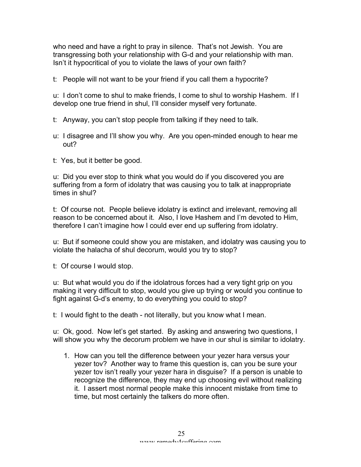who need and have a right to pray in silence. That's not Jewish. You are transgressing both your relationship with G-d and your relationship with man. Isn't it hypocritical of you to violate the laws of your own faith?

t: People will not want to be your friend if you call them a hypocrite?

u: I don't come to shul to make friends, I come to shul to worship Hashem. If I develop one true friend in shul, I'll consider myself very fortunate.

- t: Anyway, you can't stop people from talking if they need to talk.
- u: I disagree and I'll show you why. Are you open-minded enough to hear me out?

t: Yes, but it better be good.

u: Did you ever stop to think what you would do if you discovered you are suffering from a form of idolatry that was causing you to talk at inappropriate times in shul?

t: Of course not. People believe idolatry is extinct and irrelevant, removing all reason to be concerned about it. Also, I love Hashem and I'm devoted to Him, therefore I can't imagine how I could ever end up suffering from idolatry.

u: But if someone could show you are mistaken, and idolatry was causing you to violate the halacha of shul decorum, would you try to stop?

t: Of course I would stop.

u: But what would you do if the idolatrous forces had a very tight grip on you making it very difficult to stop, would you give up trying or would you continue to fight against G-d's enemy, to do everything you could to stop?

t: I would fight to the death - not literally, but you know what I mean.

u: Ok, good. Now let's get started. By asking and answering two questions, I will show you why the decorum problem we have in our shul is similar to idolatry.

1. How can you tell the difference between your yezer hara versus your yezer tov? Another way to frame this question is, can you be sure your yezer tov isn't really your yezer hara in disguise? If a person is unable to recognize the difference, they may end up choosing evil without realizing it. I assert most normal people make this innocent mistake from time to time, but most certainly the talkers do more often.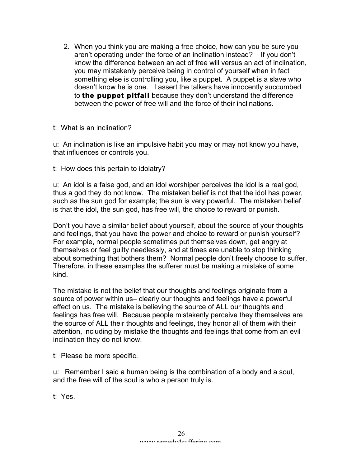2. When you think you are making a free choice, how can you be sure you aren't operating under the force of an inclination instead? If you don't know the difference between an act of free will versus an act of inclination, you may mistakenly perceive being in control of yourself when in fact something else is controlling you, like a puppet. A puppet is a slave who doesn't know he is one. I assert the talkers have innocently succumbed to **the puppet pitfall** because they don't understand the difference between the power of free will and the force of their inclinations.

#### t: What is an inclination?

u: An inclination is like an impulsive habit you may or may not know you have, that influences or controls you.

t: How does this pertain to idolatry?

u: An idol is a false god, and an idol worshiper perceives the idol is a real god, thus a god they do not know. The mistaken belief is not that the idol has power, such as the sun god for example; the sun is very powerful. The mistaken belief is that the idol, the sun god, has free will, the choice to reward or punish.

Don't you have a similar belief about yourself, about the source of your thoughts and feelings, that you have the power and choice to reward or punish yourself? For example, normal people sometimes put themselves down, get angry at themselves or feel guilty needlessly, and at times are unable to stop thinking about something that bothers them? Normal people don't freely choose to suffer. Therefore, in these examples the sufferer must be making a mistake of some kind.

The mistake is not the belief that our thoughts and feelings originate from a source of power within us– clearly our thoughts and feelings have a powerful effect on us. The mistake is believing the source of ALL our thoughts and feelings has free will. Because people mistakenly perceive they themselves are the source of ALL their thoughts and feelings, they honor all of them with their attention, including by mistake the thoughts and feelings that come from an evil inclination they do not know.

t: Please be more specific.

u: Remember I said a human being is the combination of a body and a soul, and the free will of the soul is who a person truly is.

t: Yes.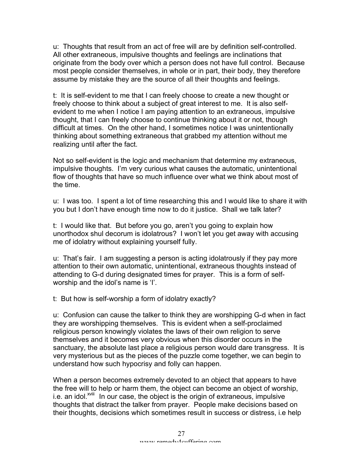u: Thoughts that result from an act of free will are by definition self-controlled. All other extraneous, impulsive thoughts and feelings are inclinations that originate from the body over which a person does not have full control. Because most people consider themselves, in whole or in part, their body, they therefore assume by mistake they are the source of all their thoughts and feelings.

t: It is self-evident to me that I can freely choose to create a new thought or freely choose to think about a subject of great interest to me. It is also selfevident to me when I notice I am paying attention to an extraneous, impulsive thought, that I can freely choose to continue thinking about it or not, though difficult at times. On the other hand, I sometimes notice I was unintentionally thinking about something extraneous that grabbed my attention without me realizing until after the fact.

Not so self-evident is the logic and mechanism that determine my extraneous, impulsive thoughts. I'm very curious what causes the automatic, unintentional flow of thoughts that have so much influence over what we think about most of the time.

u: I was too. I spent a lot of time researching this and I would like to share it with you but I don't have enough time now to do it justice. Shall we talk later?

t: I would like that. But before you go, aren't you going to explain how unorthodox shul decorum is idolatrous? I won't let you get away with accusing me of idolatry without explaining yourself fully.

u: That's fair. I am suggesting a person is acting idolatrously if they pay more attention to their own automatic, unintentional, extraneous thoughts instead of attending to G-d during designated times for prayer. This is a form of selfworship and the idol's name is 'I'.

t: But how is self-worship a form of idolatry exactly?

u: Confusion can cause the talker to think they are worshipping G-d when in fact they are worshipping themselves. This is evident when a self-proclaimed religious person knowingly violates the laws of their own religion to serve themselves and it becomes very obvious when this disorder occurs in the sanctuary, the absolute last place a religious person would dare transgress. It is very mysterious but as the pieces of the puzzle come together, we can begin to understand how such hypocrisy and folly can happen.

When a person becomes extremely devoted to an object that appears to have the free will to help or harm them, the object can become an object of worship, i.e. an idol.<sup>xviii</sup> In our case, the object is the origin of extraneous, impulsive thoughts that distract the talker from prayer. People make decisions based on their thoughts, decisions which sometimes result in success or distress, i.e help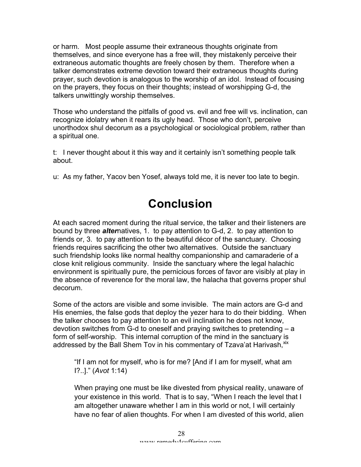or harm. Most people assume their extraneous thoughts originate from themselves, and since everyone has a free will, they mistakenly perceive their extraneous automatic thoughts are freely chosen by them. Therefore when a talker demonstrates extreme devotion toward their extraneous thoughts during prayer, such devotion is analogous to the worship of an idol. Instead of focusing on the prayers, they focus on their thoughts; instead of worshipping G-d, the talkers unwittingly worship themselves.

Those who understand the pitfalls of good vs. evil and free will vs. inclination, can recognize idolatry when it rears its ugly head. Those who don't, perceive unorthodox shul decorum as a psychological or sociological problem, rather than a spiritual one.

t: I never thought about it this way and it certainly isn't something people talk about.

u: As my father, Yacov ben Yosef, always told me, it is never too late to begin.

## **Conclusion**

At each sacred moment during the ritual service, the talker and their listeners are bound by three *alter*natives, 1. to pay attention to G-d, 2. to pay attention to friends or, 3. to pay attention to the beautiful décor of the sanctuary. Choosing friends requires sacrificing the other two alternatives. Outside the sanctuary such friendship looks like normal healthy companionship and camaraderie of a close knit religious community. Inside the sanctuary where the legal halachic environment is spiritually pure, the pernicious forces of favor are visibly at play in the absence of reverence for the moral law, the halacha that governs proper shul decorum.

Some of the actors are visible and some invisible. The main actors are G-d and His enemies, the false gods that deploy the yezer hara to do their bidding. When the talker chooses to pay attention to an evil inclination he does not know, devotion switches from G-d to oneself and praying switches to pretending – a form of self-worship. This internal corruption of the mind in the sanctuary is addressed by the Ball Shem Tov in his commentary of Tzava'at Harivash, xix

"If I am not for myself, who is for me? [And if I am for myself, what am I?..]." (*Avot* 1:14)

When praying one must be like divested from physical reality, unaware of your existence in this world. That is to say, "When I reach the level that I am altogether unaware whether I am in this world or not, I will certainly have no fear of alien thoughts. For when I am divested of this world, alien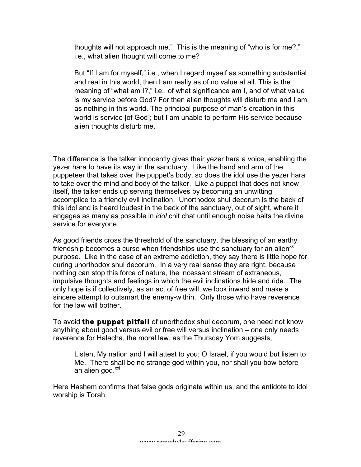thoughts will not approach me." This is the meaning of "who is for me?," i.e., what alien thought will come to me?

But "If I am for myself," i.e., when I regard myself as something substantial and real in this world, then I am really as of no value at all. This is the meaning of "what am I?," i.e., of what significance am I, and of what value is my service before God? For then alien thoughts will disturb me and I am as nothing in this world. The principal purpose of man's creation in this world is service [of God]; but I am unable to perform His service because alien thoughts disturb me.

The difference is the talker innocently gives their yezer hara a voice, enabling the yezer hara to have its way in the sanctuary. Like the hand and arm of the puppeteer that takes over the puppet's body, so does the idol use the yezer hara to take over the mind and body of the talker. Like a puppet that does not know itself, the talker ends up serving themselves by becoming an unwitting accomplice to a friendly evil inclination. Unorthodox shul decorum is the back of this idol and is heard loudest in the back of the sanctuary, out of sight, where it engages as many as possible in *idol* chit chat until enough noise halts the divine service for everyone.

As good friends cross the threshold of the sanctuary, the blessing of an earthy friendship becomes a curse when friendships use the sanctuary for an alien $<sup>xx</sup>$ </sup> purpose. Like in the case of an extreme addiction, they say there is little hope for curing unorthodox shul decorum. In a very real sense they are right, because nothing can stop this force of nature, the incessant stream of extraneous, impulsive thoughts and feelings in which the evil inclinations hide and ride. The only hope is if collectively, as an act of free will, we look inward and make a sincere attempt to outsmart the enemy-within. Only those who have reverence for the law will bother.

To avoid **the puppet pitfall** of unorthodox shul decorum, one need not know anything about good versus evil or free will versus inclination – one only needs reverence for Halacha, the moral law, as the Thursday Yom suggests,

Listen, My nation and I will attest to you; O Israel, if you would but listen to Me. There shall be no strange god within you, nor shall you bow before an alien god.<sup>xxi</sup>

Here Hashem confirms that false gods originate within us, and the antidote to idol worship is Torah.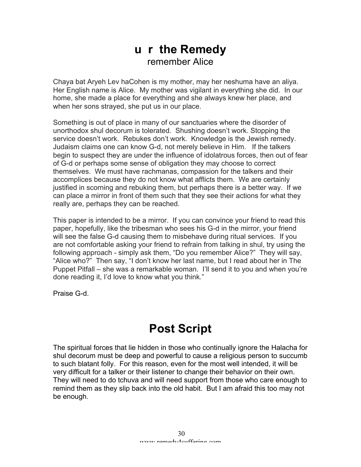### **u r the Remedy** remember Alice

Chaya bat Aryeh Lev haCohen is my mother, may her neshuma have an aliya. Her English name is Alice. My mother was vigilant in everything she did. In our home, she made a place for everything and she always knew her place, and when her sons strayed, she put us in our place.

Something is out of place in many of our sanctuaries where the disorder of unorthodox shul decorum is tolerated. Shushing doesn't work. Stopping the service doesn't work. Rebukes don't work. Knowledge is the Jewish remedy. Judaism claims one can know G-d, not merely believe in Him. If the talkers begin to suspect they are under the influence of idolatrous forces, then out of fear of G-d or perhaps some sense of obligation they may choose to correct themselves. We must have rachmanas, compassion for the talkers and their accomplices because they do not know what afflicts them. We are certainly justified in scorning and rebuking them, but perhaps there is a better way. If we can place a mirror in front of them such that they see their actions for what they really are, perhaps they can be reached.

This paper is intended to be a mirror. If you can convince your friend to read this paper, hopefully, like the tribesman who sees his G-d in the mirror, your friend will see the false G-d causing them to misbehave during ritual services. If you are not comfortable asking your friend to refrain from talking in shul, try using the following approach - simply ask them, "Do you remember Alice?" They will say, "Alice who?" Then say, "I don't know her last name, but I read about her in The Puppet Pitfall – she was a remarkable woman. I'll send it to you and when you're done reading it, I'd love to know what you think."

Praise G-d.

# **Post Script**

The spiritual forces that lie hidden in those who continually ignore the Halacha for shul decorum must be deep and powerful to cause a religious person to succumb to such blatant folly. For this reason, even for the most well intended, it will be very difficult for a talker or their listener to change their behavior on their own. They will need to do tchuva and will need support from those who care enough to remind them as they slip back into the old habit. But I am afraid this too may not be enough.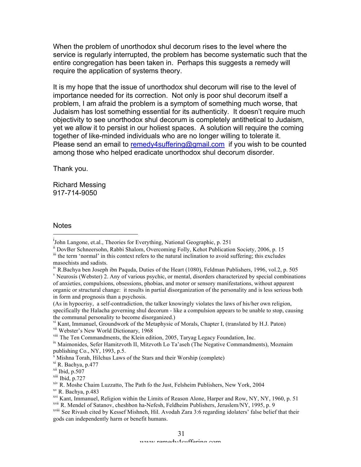When the problem of unorthodox shul decorum rises to the level where the service is regularly interrupted, the problem has become systematic such that the entire congregation has been taken in. Perhaps this suggests a remedy will require the application of systems theory.

It is my hope that the issue of unorthodox shul decorum will rise to the level of importance needed for its correction. Not only is poor shul decorum itself a problem, I am afraid the problem is a symptom of something much worse, that Judaism has lost something essential for its authenticity. It doesn't require much objectivity to see unorthodox shul decorum is completely antithetical to Judaism, yet we allow it to persist in our holiest spaces. A solution will require the coming together of like-minded individuals who are no longer willing to tolerate it. Please send an email to remedy4suffering@gmail.com if you wish to be counted among those who helped eradicate unorthodox shul decorum disorder.

Thank you.

Richard Messing 917-714-9050

**Notes** 

<sup>v</sup> Neurosis (Webster) 2. Any of various psychic, or mental, disorders characterized by special combinations of anxieties, compulsions, obsessions, phobias, and motor or sensory manifestations, without apparent organic or structural change: it results in partial disorganization of the personality and is less serious both in form and prognosis than a psychosis.

(As in hypocrisy, a self-contradiction, the talker knowingly violates the laws of his/her own religion, specifically the Halacha governing shul decorum - like a compulsion appears to be unable to stop, causing the communal personality to become disorganized.)

vi Kant, Immanuel, Groundwork of the Metaphysic of Morals, Chapter I, (translated by H.J. Paton) <sup>vii</sup> Webster's New World Dictionary, 1968<br><sup>viii</sup> The Ten Commandments, the Klein edition, 2005, Taryag Legacy Foundation, Inc.

xi R. Bachya, p.477

<sup>|&</sup>lt;br>i  $\mu$ <sup>1</sup>John Langone, et.al., Theories for Everything, National Geographic, p. 251

ii DovBer Schneersohn, Rabbi Shalom, Overcoming Folly, Kehot Publication Society, 2006, p. 15

iii the term 'normal' in this context refers to the natural inclination to avoid suffering; this excludes masochists and sadists.

iv R.Bachya ben Joseph ibn Paquda, Duties of the Heart (1080), Feldman Publishers, 1996, vol.2, p. 505

<sup>&</sup>lt;sup>ix</sup> Maimonides, Sefer Hamitzvoth II, Mitzvoth Lo Ta'aseh (The Negative Commandments), Moznaim publishing Co., NY, 1993, p.5.

 $\bar{x}$  Mishna Torah, Hilchus Laws of the Stars and their Worship (complete)

 $xii$  Ibid, p.507

xiii Ibid, p.727

 $x^{\text{iv}}$  R. Moshe Chaim Luzzatto, The Path fo the Just, Felsheim Publishers, New York, 2004  $x^{\text{v}}$  R. Bachya, p.483

xvi Kant, Immanuel, Religion within the Limits of Reason Alone, Harper and Row, NY, NY, 1960, p. 51 xvii R. Mendel of Satanov, cheshbon ha-Nefesh, Feldheim Publishers, Jeruslem/NY, 1995, p. 9

xviii See Rivash cited by Kessef Mishneh, Hil. Avodah Zara 3:6 regarding idolaters' false belief that their gods can independently harm or benefit humans.